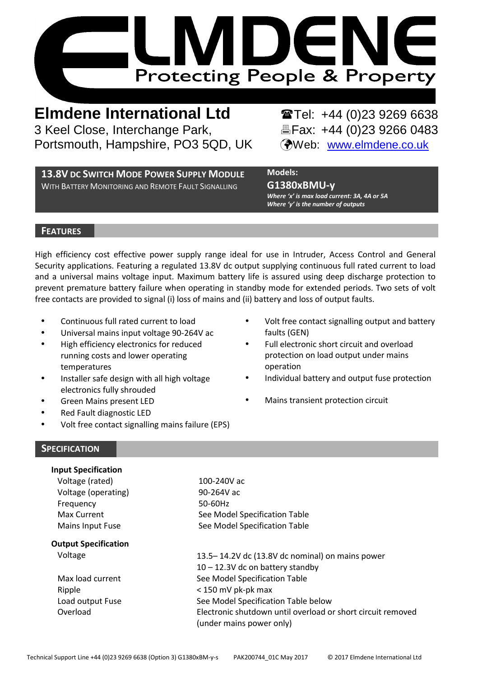

**Elmdene International Ltd**<br> **Tel:** +44 (0)23 9269 6638<br> **Tel:** +44 (0)23 9266 0483<br> **Elmden** Park.<br> **Elmange Park.**<br> **Elmange Park.** 3 Keel Close, Interchange Park, Portsmouth, Hampshire, PO3 5QD, UK (Web: www.elmdene.co.uk

**13.8V DC SWITCH MODE POWER SUPPLY MODULE**  WITH BATTERY MONITORING AND REMOTE FAULT SIGNALLING

**Models:**

**G1380xBMU-y**  *Where 'x' is max load current: 3A, 4A or 5A Where 'y' is the number of outputs* 

## **FEATURES**

High efficiency cost effective power supply range ideal for use in Intruder, Access Control and General Security applications. Featuring a regulated 13.8V dc output supplying continuous full rated current to load and a universal mains voltage input. Maximum battery life is assured using deep discharge protection to prevent premature battery failure when operating in standby mode for extended periods. Two sets of volt free contacts are provided to signal (i) loss of mains and (ii) battery and loss of output faults.

- Continuous full rated current to load
- Universal mains input voltage 90-264V ac
- High efficiency electronics for reduced running costs and lower operating temperatures
- Installer safe design with all high voltage electronics fully shrouded
- Green Mains present LED
- Red Fault diagnostic LED
- Volt free contact signalling mains failure (EPS)
- Volt free contact signalling output and battery faults (GEN)
- Full electronic short circuit and overload protection on load output under mains operation
- Individual battery and output fuse protection
- Mains transient protection circuit

## **SPECIFICATION**

| <b>Input Specification</b>  |                                                             |
|-----------------------------|-------------------------------------------------------------|
| Voltage (rated)             | 100-240V ac                                                 |
| Voltage (operating)         | 90-264V ac                                                  |
| Frequency                   | 50-60Hz                                                     |
| Max Current                 | See Model Specification Table                               |
| Mains Input Fuse            | See Model Specification Table                               |
| <b>Output Specification</b> |                                                             |
| Voltage                     | 13.5–14.2V dc (13.8V dc nominal) on mains power             |
|                             | 10 - 12.3V dc on battery standby                            |
| Max load current            | See Model Specification Table                               |
| Ripple                      | $<$ 150 mV pk-pk max                                        |
| Load output Fuse            | See Model Specification Table below                         |
| Overload                    | Electronic shutdown until overload or short circuit removed |
|                             | (under mains power only)                                    |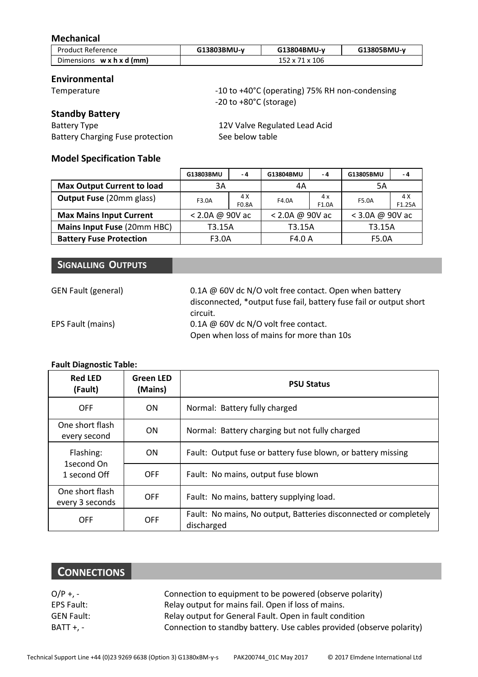### **Mechanical**

| <b>Product Reference</b>       | G13803BMU-v | G13804BMU-v   | G13805BMU-v |
|--------------------------------|-------------|---------------|-------------|
| <b>Dimensions</b><br>wxhxd(mm) |             | 52 x 71 x 106 |             |

#### **Environmental**

#### **Standby Battery**

Battery Type 12V Valve Regulated Lead Acid Battery Charging Fuse protection See below table

Temperature  $-10$  to +40°C (operating) 75% RH non-condensing -20 to +80°C (storage)

# **Model Specification Table**

|                                   | G13803BMU         | - 4          | G13804BMU         | - 4         | G13805BMU         | - 4           |
|-----------------------------------|-------------------|--------------|-------------------|-------------|-------------------|---------------|
| <b>Max Output Current to load</b> | 3A                |              | 4A                |             | 5A                |               |
| <b>Output Fuse (20mm glass)</b>   | F3.0A             | 4 X<br>F0.8A | F4.0A             | 4x<br>F1.0A | F5.0A             | 4 X<br>F1.25A |
| <b>Max Mains Input Current</b>    | $<$ 2.0A @ 90V ac |              | $<$ 2.0A @ 90V ac |             | $<$ 3.0A @ 90V ac |               |
| Mains Input Fuse (20mm HBC)       | T3.15A            |              | T3.15A            |             | T3.15A            |               |
| <b>Battery Fuse Protection</b>    | F3.0A             |              | F4.0 A            |             | F5.0A             |               |

## **SIGNALLING OUTPUTS**

| <b>GEN Fault (general)</b> | 0.1A @ 60V dc N/O volt free contact. Open when battery<br>disconnected, *output fuse fail, battery fuse fail or output short |
|----------------------------|------------------------------------------------------------------------------------------------------------------------------|
| <b>EPS Fault (mains)</b>   | circuit.<br>0.1A @ 60V dc N/O volt free contact.                                                                             |
|                            | Open when loss of mains for more than 10s                                                                                    |

#### **Fault Diagnostic Table:**

| <b>Red LED</b><br>(Fault)          | <b>Green LED</b><br>(Mains) | <b>PSU Status</b>                                                              |
|------------------------------------|-----------------------------|--------------------------------------------------------------------------------|
| OFF                                | <b>ON</b>                   | Normal: Battery fully charged                                                  |
| One short flash<br>every second    | ON                          | Normal: Battery charging but not fully charged                                 |
| Flashing:<br>1second On            | ON                          | Fault: Output fuse or battery fuse blown, or battery missing                   |
| 1 second Off                       | <b>OFF</b>                  | Fault: No mains, output fuse blown                                             |
| One short flash<br>every 3 seconds | <b>OFF</b>                  | Fault: No mains, battery supplying load.                                       |
| OFF                                | OFF                         | Fault: No mains, No output, Batteries disconnected or completely<br>discharged |

# **CONNECTIONS**

| $O/P + -$  | Connection to equipment to be powered (observe polarity)              |
|------------|-----------------------------------------------------------------------|
| EPS Fault: | Relay output for mains fail. Open if loss of mains.                   |
| GEN Fault: | Relay output for General Fault. Open in fault condition               |
| BATT +. -  | Connection to standby battery. Use cables provided (observe polarity) |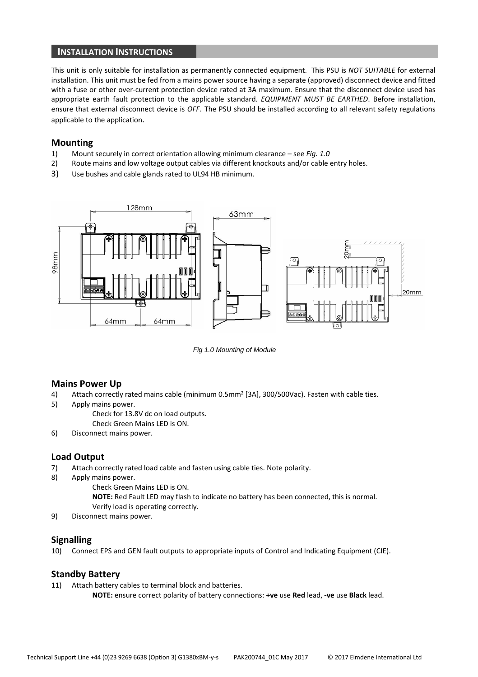#### **INSTALLATION INSTRUCTIONS**

This unit is only suitable for installation as permanently connected equipment. This PSU is *NOT SUITABLE* for external installation. This unit must be fed from a mains power source having a separate (approved) disconnect device and fitted with a fuse or other over-current protection device rated at 3A maximum. Ensure that the disconnect device used has appropriate earth fault protection to the applicable standard. *EQUIPMENT MUST BE EARTHED*. Before installation, ensure that external disconnect device is *OFF*. The PSU should be installed according to all relevant safety regulations applicable to the application.

#### **Mounting**

- 1) Mount securely in correct orientation allowing minimum clearance see *Fig. 1.0*
- 2) Route mains and low voltage output cables via different knockouts and/or cable entry holes.
- 3) Use bushes and cable glands rated to UL94 HB minimum.



Fig 1.0 Mounting of Module

#### **Mains Power Up**

- 4) Attach correctly rated mains cable (minimum 0.5mm<sup>2</sup> [3A], 300/500Vac). Fasten with cable ties.
- 5) Apply mains power.
	- Check for 13.8V dc on load outputs.
	- Check Green Mains LED is ON.
- 6) Disconnect mains power.

#### **Load Output**

- 7) Attach correctly rated load cable and fasten using cable ties. Note polarity.
- 8) Apply mains power.
	- Check Green Mains LED is ON.
	- **NOTE:** Red Fault LED may flash to indicate no battery has been connected, this is normal.
	- Verify load is operating correctly.
- 9) Disconnect mains power.

#### **Signalling**

10) Connect EPS and GEN fault outputs to appropriate inputs of Control and Indicating Equipment (CIE).

#### **Standby Battery**

11) Attach battery cables to terminal block and batteries. **NOTE:** ensure correct polarity of battery connections: **+ve** use **Red** lead, **-ve** use **Black** lead.